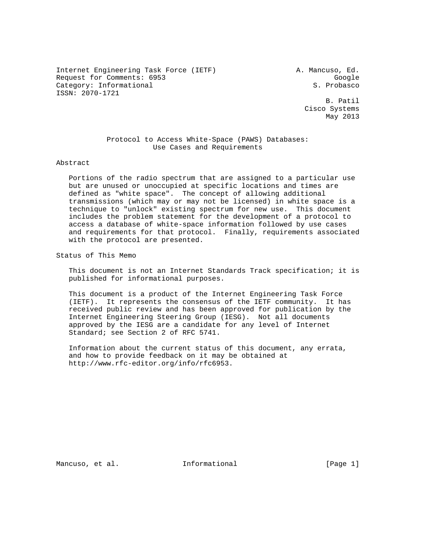Internet Engineering Task Force (IETF) A. Mancuso, Ed. Request for Comments: 6953<br>Category: Informational Google (S. Probasco Category: Informational ISSN: 2070-1721

 B. Patil Cisco Systems May 2013

 Protocol to Access White-Space (PAWS) Databases: Use Cases and Requirements

#### Abstract

 Portions of the radio spectrum that are assigned to a particular use but are unused or unoccupied at specific locations and times are defined as "white space". The concept of allowing additional transmissions (which may or may not be licensed) in white space is a technique to "unlock" existing spectrum for new use. This document includes the problem statement for the development of a protocol to access a database of white-space information followed by use cases and requirements for that protocol. Finally, requirements associated with the protocol are presented.

Status of This Memo

 This document is not an Internet Standards Track specification; it is published for informational purposes.

 This document is a product of the Internet Engineering Task Force (IETF). It represents the consensus of the IETF community. It has received public review and has been approved for publication by the Internet Engineering Steering Group (IESG). Not all documents approved by the IESG are a candidate for any level of Internet Standard; see Section 2 of RFC 5741.

 Information about the current status of this document, any errata, and how to provide feedback on it may be obtained at http://www.rfc-editor.org/info/rfc6953.

Mancuso, et al. **Informational** [Page 1]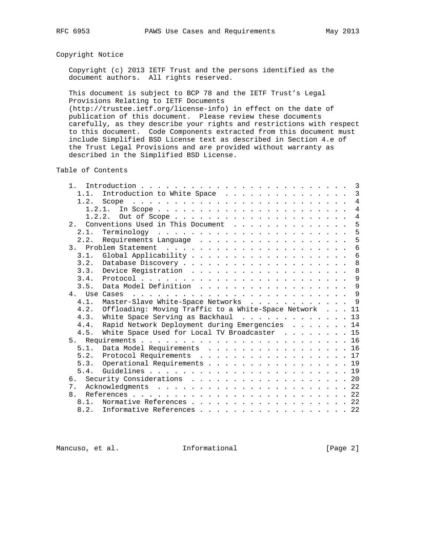# Copyright Notice

 Copyright (c) 2013 IETF Trust and the persons identified as the document authors. All rights reserved.

 This document is subject to BCP 78 and the IETF Trust's Legal Provisions Relating to IETF Documents

 (http://trustee.ietf.org/license-info) in effect on the date of publication of this document. Please review these documents carefully, as they describe your rights and restrictions with respect to this document. Code Components extracted from this document must include Simplified BSD License text as described in Section 4.e of the Trust Legal Provisions and are provided without warranty as described in the Simplified BSD License.

Table of Contents

| 1 <sub>1</sub> |        |                                                                                                                                                                                                                                         | 3              |
|----------------|--------|-----------------------------------------------------------------------------------------------------------------------------------------------------------------------------------------------------------------------------------------|----------------|
|                | 1.1.   | Introduction to White Space                                                                                                                                                                                                             | $\overline{3}$ |
|                | 1.2.   | the contract of the contract of the contract of the contract of the contract of the contract of the contract of the contract of the contract of the contract of the contract of the contract of the contract of the contract o<br>Scope | $\overline{4}$ |
|                | 1.2.1. |                                                                                                                                                                                                                                         | $\overline{4}$ |
|                |        | Out of Scope<br>1.2.2.                                                                                                                                                                                                                  | $\overline{4}$ |
| 2.1            |        | 5<br>Conventions Used in This Document                                                                                                                                                                                                  |                |
|                | 2.1.   |                                                                                                                                                                                                                                         | 5              |
|                | 2.2.   | Requirements Language                                                                                                                                                                                                                   | 5              |
|                |        |                                                                                                                                                                                                                                         | 6              |
|                | 3.1.   | $6\phantom{1}6$                                                                                                                                                                                                                         |                |
|                | 3.2.   |                                                                                                                                                                                                                                         | 8              |
|                | 3.3.   |                                                                                                                                                                                                                                         | 8              |
|                | 3.4.   |                                                                                                                                                                                                                                         | 9              |
|                | 3.5.   |                                                                                                                                                                                                                                         | 9              |
|                |        | 4. Use Cases                                                                                                                                                                                                                            |                |
|                | 4.1.   | Master-Slave White-Space Networks 9                                                                                                                                                                                                     |                |
|                | 4.2.   | Offloading: Moving Traffic to a White-Space Network 11                                                                                                                                                                                  |                |
|                | 4.3.   | White Space Serving as Backhaul $\cdots$ , 13                                                                                                                                                                                           |                |
|                | 4.4.   | Rapid Network Deployment during Emergencies 14                                                                                                                                                                                          |                |
|                | 4.5.   | White Space Used for Local TV Broadcaster 15                                                                                                                                                                                            |                |
|                |        |                                                                                                                                                                                                                                         |                |
|                | 5.1.   | Data Model Requirements 16                                                                                                                                                                                                              |                |
|                |        | 17                                                                                                                                                                                                                                      |                |
|                | 5.3.   | Operational Requirements 19                                                                                                                                                                                                             |                |
|                | 5.4.   |                                                                                                                                                                                                                                         |                |
|                |        | 6. Security Considerations 20                                                                                                                                                                                                           |                |
| 7.             |        | 22                                                                                                                                                                                                                                      |                |
| 8.             |        |                                                                                                                                                                                                                                         |                |
|                | 8.1.   | Normative References 22                                                                                                                                                                                                                 |                |
|                |        | 8.2. Informative References 22                                                                                                                                                                                                          |                |
|                |        |                                                                                                                                                                                                                                         |                |

Mancuso, et al. 1nformational 1999 [Page 2]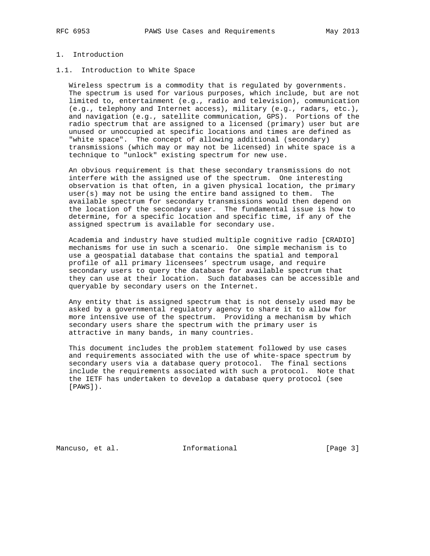# 1. Introduction

## 1.1. Introduction to White Space

 Wireless spectrum is a commodity that is regulated by governments. The spectrum is used for various purposes, which include, but are not limited to, entertainment (e.g., radio and television), communication (e.g., telephony and Internet access), military (e.g., radars, etc.), and navigation (e.g., satellite communication, GPS). Portions of the radio spectrum that are assigned to a licensed (primary) user but are unused or unoccupied at specific locations and times are defined as "white space". The concept of allowing additional (secondary) transmissions (which may or may not be licensed) in white space is a technique to "unlock" existing spectrum for new use.

 An obvious requirement is that these secondary transmissions do not interfere with the assigned use of the spectrum. One interesting observation is that often, in a given physical location, the primary user(s) may not be using the entire band assigned to them. The available spectrum for secondary transmissions would then depend on the location of the secondary user. The fundamental issue is how to determine, for a specific location and specific time, if any of the assigned spectrum is available for secondary use.

 Academia and industry have studied multiple cognitive radio [CRADIO] mechanisms for use in such a scenario. One simple mechanism is to use a geospatial database that contains the spatial and temporal profile of all primary licensees' spectrum usage, and require secondary users to query the database for available spectrum that they can use at their location. Such databases can be accessible and queryable by secondary users on the Internet.

 Any entity that is assigned spectrum that is not densely used may be asked by a governmental regulatory agency to share it to allow for more intensive use of the spectrum. Providing a mechanism by which secondary users share the spectrum with the primary user is attractive in many bands, in many countries.

 This document includes the problem statement followed by use cases and requirements associated with the use of white-space spectrum by secondary users via a database query protocol. The final sections include the requirements associated with such a protocol. Note that the IETF has undertaken to develop a database query protocol (see [PAWS]).

Mancuso, et al. 1nformational 1996 [Page 3]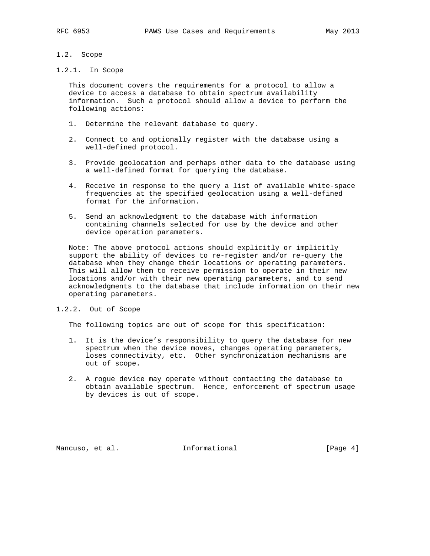### 1.2. Scope

## 1.2.1. In Scope

 This document covers the requirements for a protocol to allow a device to access a database to obtain spectrum availability information. Such a protocol should allow a device to perform the following actions:

- 1. Determine the relevant database to query.
- 2. Connect to and optionally register with the database using a well-defined protocol.
- 3. Provide geolocation and perhaps other data to the database using a well-defined format for querying the database.
- 4. Receive in response to the query a list of available white-space frequencies at the specified geolocation using a well-defined format for the information.
- 5. Send an acknowledgment to the database with information containing channels selected for use by the device and other device operation parameters.

 Note: The above protocol actions should explicitly or implicitly support the ability of devices to re-register and/or re-query the database when they change their locations or operating parameters. This will allow them to receive permission to operate in their new locations and/or with their new operating parameters, and to send acknowledgments to the database that include information on their new operating parameters.

## 1.2.2. Out of Scope

The following topics are out of scope for this specification:

- 1. It is the device's responsibility to query the database for new spectrum when the device moves, changes operating parameters, loses connectivity, etc. Other synchronization mechanisms are out of scope.
- 2. A rogue device may operate without contacting the database to obtain available spectrum. Hence, enforcement of spectrum usage by devices is out of scope.

Mancuso, et al. 1nformational 1999 [Page 4]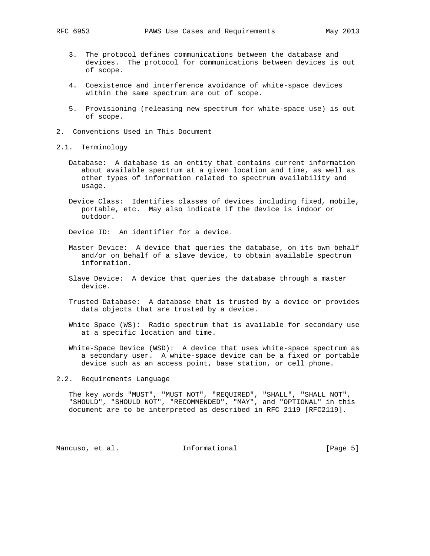- 3. The protocol defines communications between the database and devices. The protocol for communications between devices is out of scope.
- 4. Coexistence and interference avoidance of white-space devices within the same spectrum are out of scope.
- 5. Provisioning (releasing new spectrum for white-space use) is out of scope.
- 2. Conventions Used in This Document
- 2.1. Terminology
	- Database: A database is an entity that contains current information about available spectrum at a given location and time, as well as other types of information related to spectrum availability and usage.
	- Device Class: Identifies classes of devices including fixed, mobile, portable, etc. May also indicate if the device is indoor or outdoor.

Device ID: An identifier for a device.

- Master Device: A device that queries the database, on its own behalf and/or on behalf of a slave device, to obtain available spectrum information.
- Slave Device: A device that queries the database through a master device.
- Trusted Database: A database that is trusted by a device or provides data objects that are trusted by a device.
- White Space (WS): Radio spectrum that is available for secondary use at a specific location and time.
- White-Space Device (WSD): A device that uses white-space spectrum as a secondary user. A white-space device can be a fixed or portable device such as an access point, base station, or cell phone.

2.2. Requirements Language

 The key words "MUST", "MUST NOT", "REQUIRED", "SHALL", "SHALL NOT", "SHOULD", "SHOULD NOT", "RECOMMENDED", "MAY", and "OPTIONAL" in this document are to be interpreted as described in RFC 2119 [RFC2119].

Mancuso, et al. **Informational** [Page 5]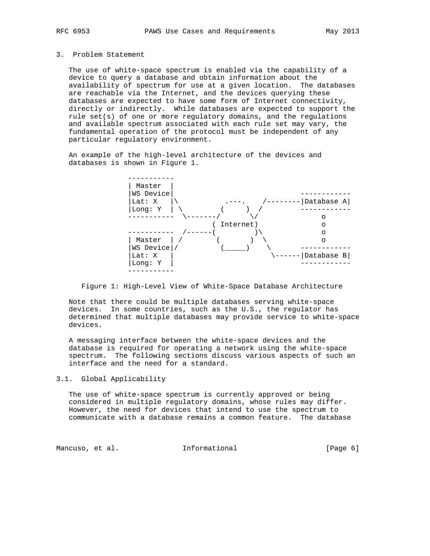#### 3. Problem Statement

 The use of white-space spectrum is enabled via the capability of a device to query a database and obtain information about the availability of spectrum for use at a given location. The databases are reachable via the Internet, and the devices querying these databases are expected to have some form of Internet connectivity, directly or indirectly. While databases are expected to support the rule  $set(s)$  of one or more regulatory domains, and the regulations and available spectrum associated with each rule set may vary, the fundamental operation of the protocol must be independent of any particular regulatory environment.

 An example of the high-level architecture of the devices and databases is shown in Figure 1.



Figure 1: High-Level View of White-Space Database Architecture

 Note that there could be multiple databases serving white-space devices. In some countries, such as the U.S., the regulator has determined that multiple databases may provide service to white-space devices.

 A messaging interface between the white-space devices and the database is required for operating a network using the white-space spectrum. The following sections discuss various aspects of such an interface and the need for a standard.

### 3.1. Global Applicability

 The use of white-space spectrum is currently approved or being considered in multiple regulatory domains, whose rules may differ. However, the need for devices that intend to use the spectrum to communicate with a database remains a common feature. The database

Mancuso, et al. 1nformational 1999 [Page 6]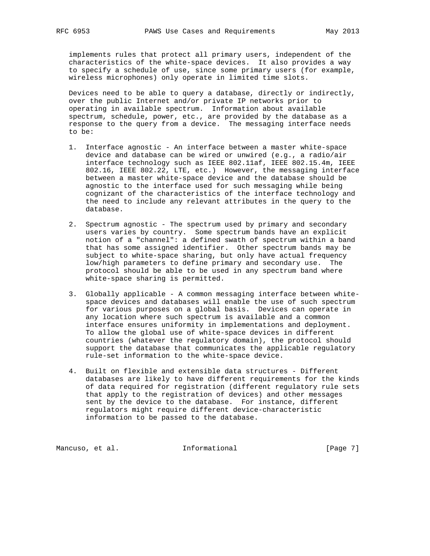implements rules that protect all primary users, independent of the characteristics of the white-space devices. It also provides a way to specify a schedule of use, since some primary users (for example, wireless microphones) only operate in limited time slots.

 Devices need to be able to query a database, directly or indirectly, over the public Internet and/or private IP networks prior to operating in available spectrum. Information about available spectrum, schedule, power, etc., are provided by the database as a response to the query from a device. The messaging interface needs to be:

- 1. Interface agnostic An interface between a master white-space device and database can be wired or unwired (e.g., a radio/air interface technology such as IEEE 802.11af, IEEE 802.15.4m, IEEE 802.16, IEEE 802.22, LTE, etc.) However, the messaging interface between a master white-space device and the database should be agnostic to the interface used for such messaging while being cognizant of the characteristics of the interface technology and the need to include any relevant attributes in the query to the database.
- 2. Spectrum agnostic The spectrum used by primary and secondary users varies by country. Some spectrum bands have an explicit notion of a "channel": a defined swath of spectrum within a band that has some assigned identifier. Other spectrum bands may be subject to white-space sharing, but only have actual frequency low/high parameters to define primary and secondary use. The protocol should be able to be used in any spectrum band where white-space sharing is permitted.
- 3. Globally applicable A common messaging interface between white space devices and databases will enable the use of such spectrum for various purposes on a global basis. Devices can operate in any location where such spectrum is available and a common interface ensures uniformity in implementations and deployment. To allow the global use of white-space devices in different countries (whatever the regulatory domain), the protocol should support the database that communicates the applicable regulatory rule-set information to the white-space device.
- 4. Built on flexible and extensible data structures Different databases are likely to have different requirements for the kinds of data required for registration (different regulatory rule sets that apply to the registration of devices) and other messages sent by the device to the database. For instance, different regulators might require different device-characteristic information to be passed to the database.

Mancuso, et al. 1nformational 1999 [Page 7]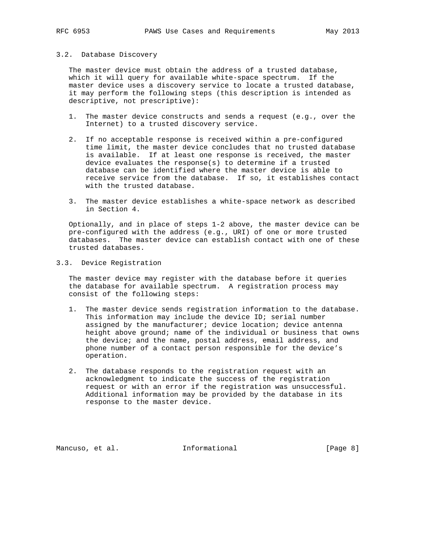#### 3.2. Database Discovery

 The master device must obtain the address of a trusted database, which it will query for available white-space spectrum. If the master device uses a discovery service to locate a trusted database, it may perform the following steps (this description is intended as descriptive, not prescriptive):

- 1. The master device constructs and sends a request (e.g., over the Internet) to a trusted discovery service.
- 2. If no acceptable response is received within a pre-configured time limit, the master device concludes that no trusted database is available. If at least one response is received, the master device evaluates the response(s) to determine if a trusted database can be identified where the master device is able to receive service from the database. If so, it establishes contact with the trusted database.
- 3. The master device establishes a white-space network as described in Section 4.

 Optionally, and in place of steps 1-2 above, the master device can be pre-configured with the address (e.g., URI) of one or more trusted databases. The master device can establish contact with one of these trusted databases.

3.3. Device Registration

 The master device may register with the database before it queries the database for available spectrum. A registration process may consist of the following steps:

- 1. The master device sends registration information to the database. This information may include the device ID; serial number assigned by the manufacturer; device location; device antenna height above ground; name of the individual or business that owns the device; and the name, postal address, email address, and phone number of a contact person responsible for the device's operation.
- 2. The database responds to the registration request with an acknowledgment to indicate the success of the registration request or with an error if the registration was unsuccessful. Additional information may be provided by the database in its response to the master device.

Mancuso, et al. 1nformational 1999 [Page 8]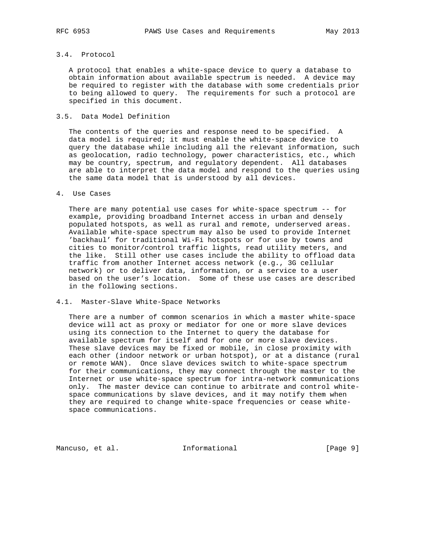## 3.4. Protocol

 A protocol that enables a white-space device to query a database to obtain information about available spectrum is needed. A device may be required to register with the database with some credentials prior to being allowed to query. The requirements for such a protocol are specified in this document.

### 3.5. Data Model Definition

 The contents of the queries and response need to be specified. A data model is required; it must enable the white-space device to query the database while including all the relevant information, such as geolocation, radio technology, power characteristics, etc., which may be country, spectrum, and regulatory dependent. All databases are able to interpret the data model and respond to the queries using the same data model that is understood by all devices.

### 4. Use Cases

 There are many potential use cases for white-space spectrum -- for example, providing broadband Internet access in urban and densely populated hotspots, as well as rural and remote, underserved areas. Available white-space spectrum may also be used to provide Internet 'backhaul' for traditional Wi-Fi hotspots or for use by towns and cities to monitor/control traffic lights, read utility meters, and the like. Still other use cases include the ability to offload data traffic from another Internet access network (e.g., 3G cellular network) or to deliver data, information, or a service to a user based on the user's location. Some of these use cases are described in the following sections.

#### 4.1. Master-Slave White-Space Networks

 There are a number of common scenarios in which a master white-space device will act as proxy or mediator for one or more slave devices using its connection to the Internet to query the database for available spectrum for itself and for one or more slave devices. These slave devices may be fixed or mobile, in close proximity with each other (indoor network or urban hotspot), or at a distance (rural or remote WAN). Once slave devices switch to white-space spectrum for their communications, they may connect through the master to the Internet or use white-space spectrum for intra-network communications only. The master device can continue to arbitrate and control white space communications by slave devices, and it may notify them when they are required to change white-space frequencies or cease white space communications.

Mancuso, et al. **Informational** [Page 9]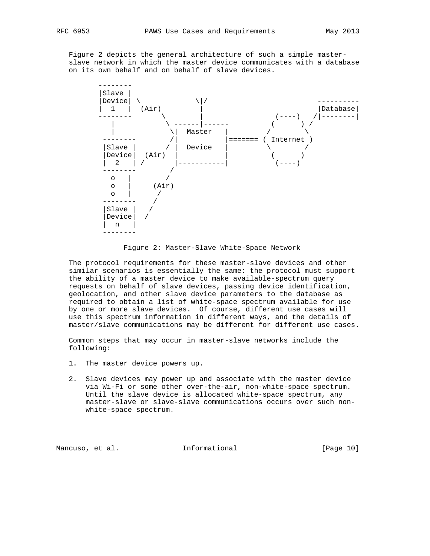Figure 2 depicts the general architecture of such a simple master slave network in which the master device communicates with a database on its own behalf and on behalf of slave devices.



Figure 2: Master-Slave White-Space Network

 The protocol requirements for these master-slave devices and other similar scenarios is essentially the same: the protocol must support the ability of a master device to make available-spectrum query requests on behalf of slave devices, passing device identification, geolocation, and other slave device parameters to the database as required to obtain a list of white-space spectrum available for use by one or more slave devices. Of course, different use cases will use this spectrum information in different ways, and the details of master/slave communications may be different for different use cases.

 Common steps that may occur in master-slave networks include the following:

- 1. The master device powers up.
- 2. Slave devices may power up and associate with the master device via Wi-Fi or some other over-the-air, non-white-space spectrum. Until the slave device is allocated white-space spectrum, any master-slave or slave-slave communications occurs over such non white-space spectrum.

Mancuso, et al. Informational [Page 10]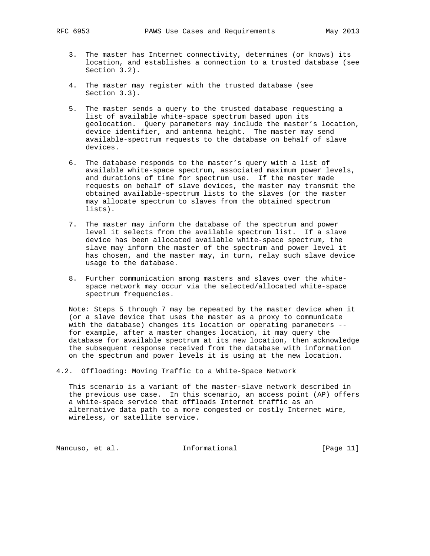- 3. The master has Internet connectivity, determines (or knows) its location, and establishes a connection to a trusted database (see Section 3.2).
- 4. The master may register with the trusted database (see Section 3.3).
- 5. The master sends a query to the trusted database requesting a list of available white-space spectrum based upon its geolocation. Query parameters may include the master's location, device identifier, and antenna height. The master may send available-spectrum requests to the database on behalf of slave devices.
- 6. The database responds to the master's query with a list of available white-space spectrum, associated maximum power levels, and durations of time for spectrum use. If the master made requests on behalf of slave devices, the master may transmit the obtained available-spectrum lists to the slaves (or the master may allocate spectrum to slaves from the obtained spectrum lists).
- 7. The master may inform the database of the spectrum and power level it selects from the available spectrum list. If a slave device has been allocated available white-space spectrum, the slave may inform the master of the spectrum and power level it has chosen, and the master may, in turn, relay such slave device usage to the database.
- 8. Further communication among masters and slaves over the white space network may occur via the selected/allocated white-space spectrum frequencies.

 Note: Steps 5 through 7 may be repeated by the master device when it (or a slave device that uses the master as a proxy to communicate with the database) changes its location or operating parameters - for example, after a master changes location, it may query the database for available spectrum at its new location, then acknowledge the subsequent response received from the database with information on the spectrum and power levels it is using at the new location.

4.2. Offloading: Moving Traffic to a White-Space Network

 This scenario is a variant of the master-slave network described in the previous use case. In this scenario, an access point (AP) offers a white-space service that offloads Internet traffic as an alternative data path to a more congested or costly Internet wire, wireless, or satellite service.

Mancuso, et al. 10 Informational 1999 [Page 11]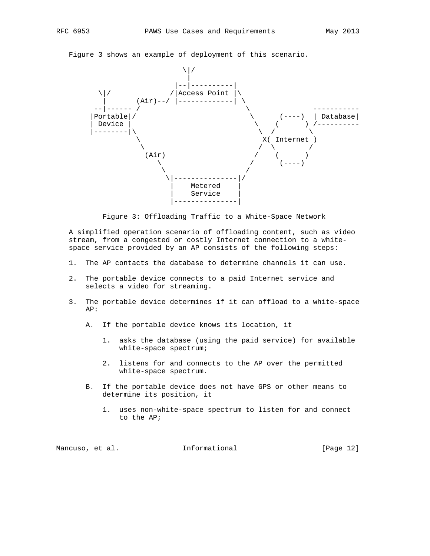Figure 3 shows an example of deployment of this scenario.



Figure 3: Offloading Traffic to a White-Space Network

 A simplified operation scenario of offloading content, such as video stream, from a congested or costly Internet connection to a white space service provided by an AP consists of the following steps:

- 1. The AP contacts the database to determine channels it can use.
- 2. The portable device connects to a paid Internet service and selects a video for streaming.
- 3. The portable device determines if it can offload to a white-space AP:
	- A. If the portable device knows its location, it
		- 1. asks the database (using the paid service) for available white-space spectrum;
		- 2. listens for and connects to the AP over the permitted white-space spectrum.
	- B. If the portable device does not have GPS or other means to determine its position, it
		- 1. uses non-white-space spectrum to listen for and connect to the AP;

Mancuso, et al. Informational [Page 12]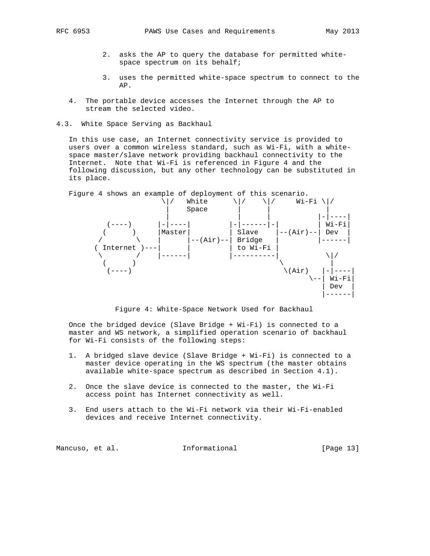- 2. asks the AP to query the database for permitted white space spectrum on its behalf;
- 3. uses the permitted white-space spectrum to connect to the AP.
- 4. The portable device accesses the Internet through the AP to stream the selected video.
- 4.3. White Space Serving as Backhaul

 In this use case, an Internet connectivity service is provided to users over a common wireless standard, such as Wi-Fi, with a white space master/slave network providing backhaul connectivity to the Internet. Note that Wi-Fi is referenced in Figure 4 and the following discussion, but any other technology can be substituted in its place.



Figure 4: White-Space Network Used for Backhaul

 Once the bridged device (Slave Bridge + Wi-Fi) is connected to a master and WS network, a simplified operation scenario of backhaul for Wi-Fi consists of the following steps:

- 1. A bridged slave device (Slave Bridge + Wi-Fi) is connected to a master device operating in the WS spectrum (the master obtains available white-space spectrum as described in Section 4.1).
- 2. Once the slave device is connected to the master, the Wi-Fi access point has Internet connectivity as well.
- 3. End users attach to the Wi-Fi network via their Wi-Fi-enabled devices and receive Internet connectivity.

Mancuso, et al. 10 Informational [Page 13]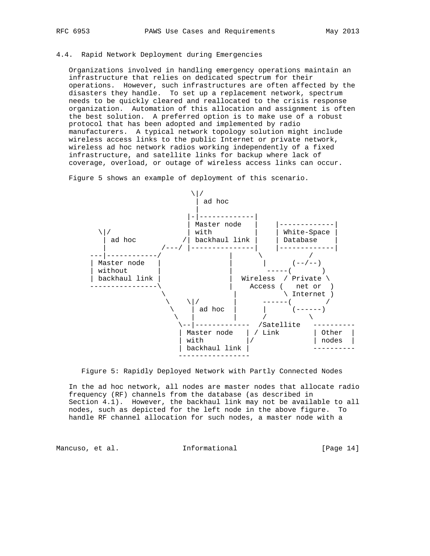## 4.4. Rapid Network Deployment during Emergencies

 Organizations involved in handling emergency operations maintain an infrastructure that relies on dedicated spectrum for their operations. However, such infrastructures are often affected by the disasters they handle. To set up a replacement network, spectrum needs to be quickly cleared and reallocated to the crisis response organization. Automation of this allocation and assignment is often the best solution. A preferred option is to make use of a robust protocol that has been adopted and implemented by radio manufacturers. A typical network topology solution might include wireless access links to the public Internet or private network, wireless ad hoc network radios working independently of a fixed infrastructure, and satellite links for backup where lack of coverage, overload, or outage of wireless access links can occur.

Figure 5 shows an example of deployment of this scenario.





 In the ad hoc network, all nodes are master nodes that allocate radio frequency (RF) channels from the database (as described in Section 4.1). However, the backhaul link may not be available to all nodes, such as depicted for the left node in the above figure. To handle RF channel allocation for such nodes, a master node with a

Mancuso, et al. 1nformational [Page 14]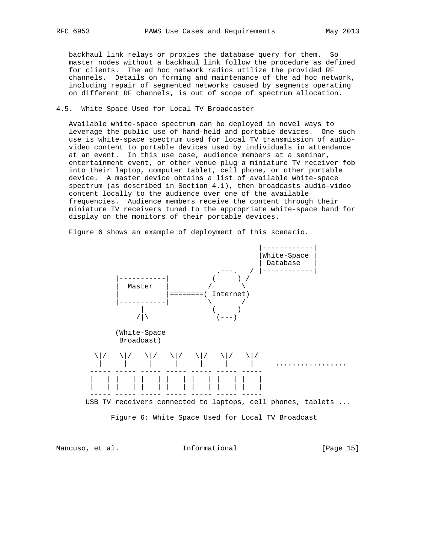backhaul link relays or proxies the database query for them. So master nodes without a backhaul link follow the procedure as defined for clients. The ad hoc network radios utilize the provided RF channels. Details on forming and maintenance of the ad hoc network, including repair of segmented networks caused by segments operating on different RF channels, is out of scope of spectrum allocation.

### 4.5. White Space Used for Local TV Broadcaster

 Available white-space spectrum can be deployed in novel ways to leverage the public use of hand-held and portable devices. One such use is white-space spectrum used for local TV transmission of audio video content to portable devices used by individuals in attendance at an event. In this use case, audience members at a seminar, entertainment event, or other venue plug a miniature TV receiver fob into their laptop, computer tablet, cell phone, or other portable device. A master device obtains a list of available white-space spectrum (as described in Section 4.1), then broadcasts audio-video content locally to the audience over one of the available frequencies. Audience members receive the content through their miniature TV receivers tuned to the appropriate white-space band for display on the monitors of their portable devices.

Figure 6 shows an example of deployment of this scenario.



Mancuso, et al. Informational [Page 15]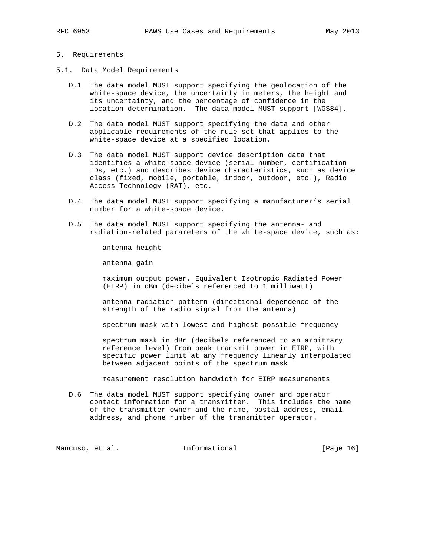### 5. Requirements

- 5.1. Data Model Requirements
	- D.1 The data model MUST support specifying the geolocation of the white-space device, the uncertainty in meters, the height and its uncertainty, and the percentage of confidence in the location determination. The data model MUST support [WGS84].
	- D.2 The data model MUST support specifying the data and other applicable requirements of the rule set that applies to the white-space device at a specified location.
	- D.3 The data model MUST support device description data that identifies a white-space device (serial number, certification IDs, etc.) and describes device characteristics, such as device class (fixed, mobile, portable, indoor, outdoor, etc.), Radio Access Technology (RAT), etc.
	- D.4 The data model MUST support specifying a manufacturer's serial number for a white-space device.
	- D.5 The data model MUST support specifying the antenna- and radiation-related parameters of the white-space device, such as:

antenna height

antenna gain

 maximum output power, Equivalent Isotropic Radiated Power (EIRP) in dBm (decibels referenced to 1 milliwatt)

 antenna radiation pattern (directional dependence of the strength of the radio signal from the antenna)

spectrum mask with lowest and highest possible frequency

 spectrum mask in dBr (decibels referenced to an arbitrary reference level) from peak transmit power in EIRP, with specific power limit at any frequency linearly interpolated between adjacent points of the spectrum mask

measurement resolution bandwidth for EIRP measurements

 D.6 The data model MUST support specifying owner and operator contact information for a transmitter. This includes the name of the transmitter owner and the name, postal address, email address, and phone number of the transmitter operator.

Mancuso, et al. 1nformational [Page 16]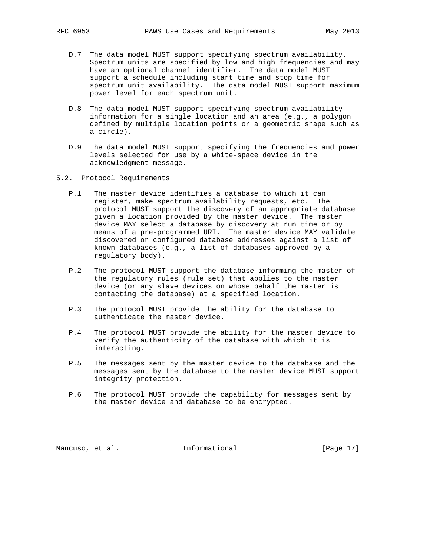- D.7 The data model MUST support specifying spectrum availability. Spectrum units are specified by low and high frequencies and may have an optional channel identifier. The data model MUST support a schedule including start time and stop time for spectrum unit availability. The data model MUST support maximum power level for each spectrum unit.
- D.8 The data model MUST support specifying spectrum availability information for a single location and an area (e.g., a polygon defined by multiple location points or a geometric shape such as a circle).
- D.9 The data model MUST support specifying the frequencies and power levels selected for use by a white-space device in the acknowledgment message.
- 5.2. Protocol Requirements
	- P.1 The master device identifies a database to which it can register, make spectrum availability requests, etc. The protocol MUST support the discovery of an appropriate database given a location provided by the master device. The master device MAY select a database by discovery at run time or by means of a pre-programmed URI. The master device MAY validate discovered or configured database addresses against a list of known databases (e.g., a list of databases approved by a regulatory body).
	- P.2 The protocol MUST support the database informing the master of the regulatory rules (rule set) that applies to the master device (or any slave devices on whose behalf the master is contacting the database) at a specified location.
	- P.3 The protocol MUST provide the ability for the database to authenticate the master device.
	- P.4 The protocol MUST provide the ability for the master device to verify the authenticity of the database with which it is interacting.
	- P.5 The messages sent by the master device to the database and the messages sent by the database to the master device MUST support integrity protection.
	- P.6 The protocol MUST provide the capability for messages sent by the master device and database to be encrypted.

Mancuso, et al. 100 Informational 100 [Page 17]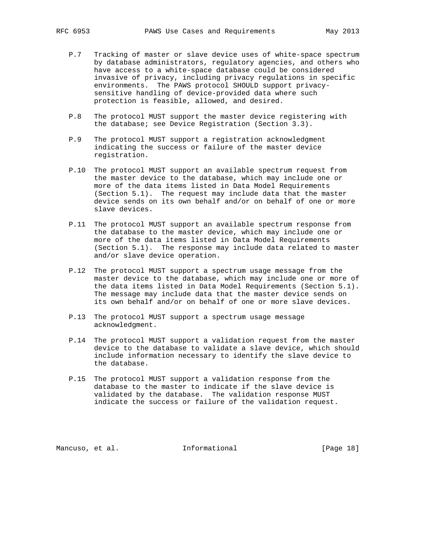- P.7 Tracking of master or slave device uses of white-space spectrum by database administrators, regulatory agencies, and others who have access to a white-space database could be considered invasive of privacy, including privacy regulations in specific environments. The PAWS protocol SHOULD support privacy sensitive handling of device-provided data where such protection is feasible, allowed, and desired.
- P.8 The protocol MUST support the master device registering with the database; see Device Registration (Section 3.3).
- P.9 The protocol MUST support a registration acknowledgment indicating the success or failure of the master device registration.
- P.10 The protocol MUST support an available spectrum request from the master device to the database, which may include one or more of the data items listed in Data Model Requirements (Section 5.1). The request may include data that the master device sends on its own behalf and/or on behalf of one or more slave devices.
- P.11 The protocol MUST support an available spectrum response from the database to the master device, which may include one or more of the data items listed in Data Model Requirements (Section 5.1). The response may include data related to master and/or slave device operation.
- P.12 The protocol MUST support a spectrum usage message from the master device to the database, which may include one or more of the data items listed in Data Model Requirements (Section 5.1). The message may include data that the master device sends on its own behalf and/or on behalf of one or more slave devices.
- P.13 The protocol MUST support a spectrum usage message acknowledgment.
- P.14 The protocol MUST support a validation request from the master device to the database to validate a slave device, which should include information necessary to identify the slave device to the database.
- P.15 The protocol MUST support a validation response from the database to the master to indicate if the slave device is validated by the database. The validation response MUST indicate the success or failure of the validation request.

Mancuso, et al. **Informational** [Page 18]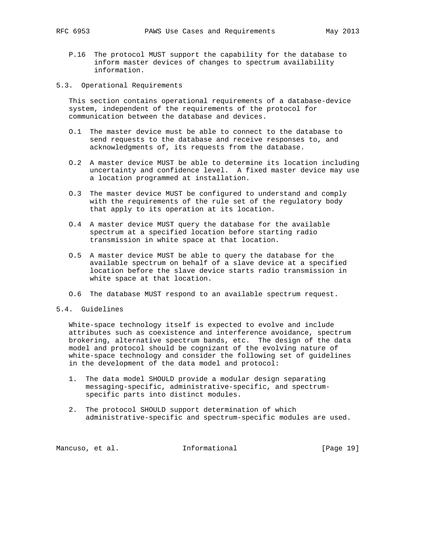- P.16 The protocol MUST support the capability for the database to inform master devices of changes to spectrum availability information.
- 5.3. Operational Requirements

 This section contains operational requirements of a database-device system, independent of the requirements of the protocol for communication between the database and devices.

- O.1 The master device must be able to connect to the database to send requests to the database and receive responses to, and acknowledgments of, its requests from the database.
- O.2 A master device MUST be able to determine its location including uncertainty and confidence level. A fixed master device may use a location programmed at installation.
- O.3 The master device MUST be configured to understand and comply with the requirements of the rule set of the regulatory body that apply to its operation at its location.
- O.4 A master device MUST query the database for the available spectrum at a specified location before starting radio transmission in white space at that location.
- O.5 A master device MUST be able to query the database for the available spectrum on behalf of a slave device at a specified location before the slave device starts radio transmission in white space at that location.
- O.6 The database MUST respond to an available spectrum request.
- 5.4. Guidelines

 White-space technology itself is expected to evolve and include attributes such as coexistence and interference avoidance, spectrum brokering, alternative spectrum bands, etc. The design of the data model and protocol should be cognizant of the evolving nature of white-space technology and consider the following set of guidelines in the development of the data model and protocol:

- 1. The data model SHOULD provide a modular design separating messaging-specific, administrative-specific, and spectrum specific parts into distinct modules.
- 2. The protocol SHOULD support determination of which administrative-specific and spectrum-specific modules are used.

Mancuso, et al. 10 Informational [Page 19]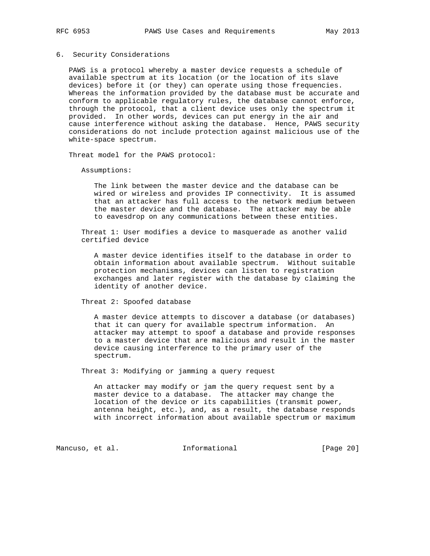#### 6. Security Considerations

 PAWS is a protocol whereby a master device requests a schedule of available spectrum at its location (or the location of its slave devices) before it (or they) can operate using those frequencies. Whereas the information provided by the database must be accurate and conform to applicable regulatory rules, the database cannot enforce, through the protocol, that a client device uses only the spectrum it provided. In other words, devices can put energy in the air and cause interference without asking the database. Hence, PAWS security considerations do not include protection against malicious use of the white-space spectrum.

Threat model for the PAWS protocol:

Assumptions:

 The link between the master device and the database can be wired or wireless and provides IP connectivity. It is assumed that an attacker has full access to the network medium between the master device and the database. The attacker may be able to eavesdrop on any communications between these entities.

 Threat 1: User modifies a device to masquerade as another valid certified device

 A master device identifies itself to the database in order to obtain information about available spectrum. Without suitable protection mechanisms, devices can listen to registration exchanges and later register with the database by claiming the identity of another device.

Threat 2: Spoofed database

 A master device attempts to discover a database (or databases) that it can query for available spectrum information. An attacker may attempt to spoof a database and provide responses to a master device that are malicious and result in the master device causing interference to the primary user of the spectrum.

Threat 3: Modifying or jamming a query request

 An attacker may modify or jam the query request sent by a master device to a database. The attacker may change the location of the device or its capabilities (transmit power, antenna height, etc.), and, as a result, the database responds with incorrect information about available spectrum or maximum

Mancuso, et al. 1nformational [Page 20]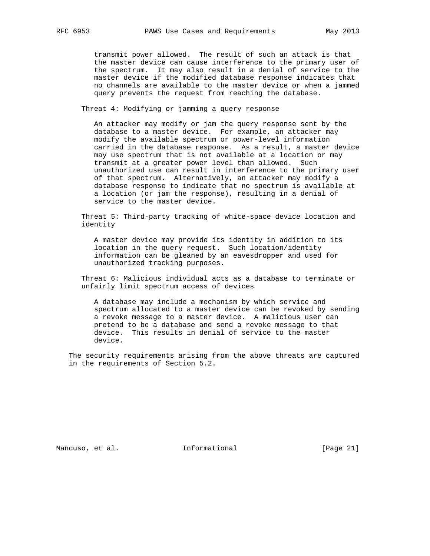transmit power allowed. The result of such an attack is that the master device can cause interference to the primary user of the spectrum. It may also result in a denial of service to the master device if the modified database response indicates that no channels are available to the master device or when a jammed query prevents the request from reaching the database.

Threat 4: Modifying or jamming a query response

 An attacker may modify or jam the query response sent by the database to a master device. For example, an attacker may modify the available spectrum or power-level information carried in the database response. As a result, a master device may use spectrum that is not available at a location or may transmit at a greater power level than allowed. Such unauthorized use can result in interference to the primary user of that spectrum. Alternatively, an attacker may modify a database response to indicate that no spectrum is available at a location (or jam the response), resulting in a denial of service to the master device.

 Threat 5: Third-party tracking of white-space device location and identity

 A master device may provide its identity in addition to its location in the query request. Such location/identity information can be gleaned by an eavesdropper and used for unauthorized tracking purposes.

 Threat 6: Malicious individual acts as a database to terminate or unfairly limit spectrum access of devices

 A database may include a mechanism by which service and spectrum allocated to a master device can be revoked by sending a revoke message to a master device. A malicious user can pretend to be a database and send a revoke message to that device. This results in denial of service to the master device.

 The security requirements arising from the above threats are captured in the requirements of Section 5.2.

Mancuso, et al. 100 Informational [Page 21]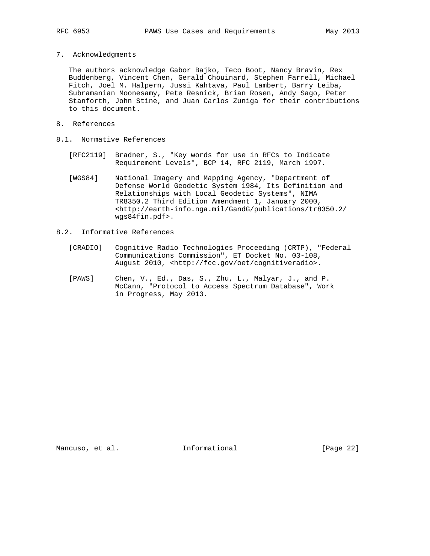- 
- 7. Acknowledgments

 The authors acknowledge Gabor Bajko, Teco Boot, Nancy Bravin, Rex Buddenberg, Vincent Chen, Gerald Chouinard, Stephen Farrell, Michael Fitch, Joel M. Halpern, Jussi Kahtava, Paul Lambert, Barry Leiba, Subramanian Moonesamy, Pete Resnick, Brian Rosen, Andy Sago, Peter Stanforth, John Stine, and Juan Carlos Zuniga for their contributions to this document.

- 8. References
- 8.1. Normative References
	- [RFC2119] Bradner, S., "Key words for use in RFCs to Indicate Requirement Levels", BCP 14, RFC 2119, March 1997.
	- [WGS84] National Imagery and Mapping Agency, "Department of Defense World Geodetic System 1984, Its Definition and Relationships with Local Geodetic Systems", NIMA TR8350.2 Third Edition Amendment 1, January 2000, <http://earth-info.nga.mil/GandG/publications/tr8350.2/ wgs84fin.pdf>.
- 8.2. Informative References
	- [CRADIO] Cognitive Radio Technologies Proceeding (CRTP), "Federal Communications Commission", ET Docket No. 03-108, August 2010, <http://fcc.gov/oet/cognitiveradio>.
	- [PAWS] Chen, V., Ed., Das, S., Zhu, L., Malyar, J., and P. McCann, "Protocol to Access Spectrum Database", Work in Progress, May 2013.

Mancuso, et al. 1nformational [Page 22]